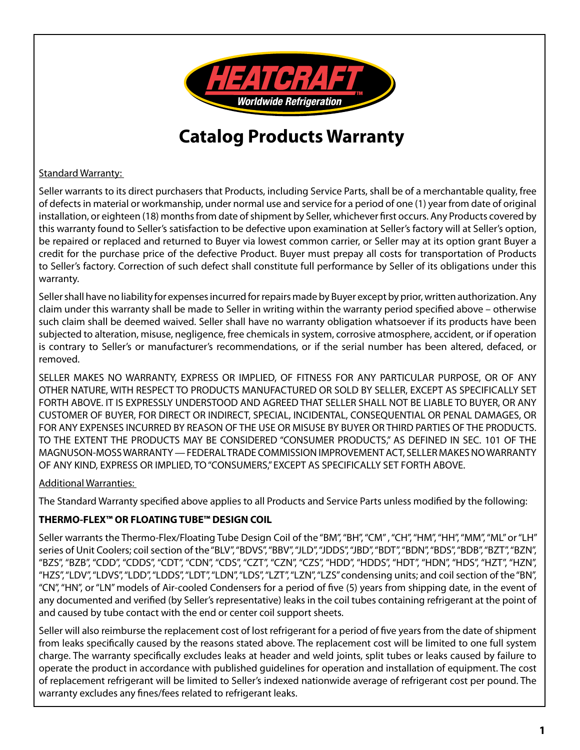

# **Catalog Products Warranty**

Standard Warranty:

Seller warrants to its direct purchasers that Products, including Service Parts, shall be of a merchantable quality, free of defects in material or workmanship, under normal use and service for a period of one (1) year from date of original installation, or eighteen (18) months from date of shipment by Seller, whichever first occurs. Any Products covered by this warranty found to Seller's satisfaction to be defective upon examination at Seller's factory will at Seller's option, be repaired or replaced and returned to Buyer via lowest common carrier, or Seller may at its option grant Buyer a credit for the purchase price of the defective Product. Buyer must prepay all costs for transportation of Products to Seller's factory. Correction of such defect shall constitute full performance by Seller of its obligations under this warranty.

Seller shall have no liability for expenses incurred for repairs made by Buyer except by prior, written authorization. Any claim under this warranty shall be made to Seller in writing within the warranty period specified above – otherwise such claim shall be deemed waived. Seller shall have no warranty obligation whatsoever if its products have been subjected to alteration, misuse, negligence, free chemicals in system, corrosive atmosphere, accident, or if operation is contrary to Seller's or manufacturer's recommendations, or if the serial number has been altered, defaced, or removed.

SELLER MAKES NO WARRANTY, EXPRESS OR IMPLIED, OF FITNESS FOR ANY PARTICULAR PURPOSE, OR OF ANY OTHER NATURE, WITH RESPECT TO PRODUCTS MANUFACTURED OR SOLD BY SELLER, EXCEPT AS SPECIFICALLY SET FORTH ABOVE. IT IS EXPRESSLY UNDERSTOOD AND AGREED THAT SELLER SHALL NOT BE LIABLE TO BUYER, OR ANY CUSTOMER OF BUYER, FOR DIRECT OR INDIRECT, SPECIAL, INCIDENTAL, CONSEQUENTIAL OR PENAL DAMAGES, OR FOR ANY EXPENSES INCURRED BY REASON OF THE USE OR MISUSE BY BUYER OR THIRD PARTIES OF THE PRODUCTS. TO THE EXTENT THE PRODUCTS MAY BE CONSIDERED "CONSUMER PRODUCTS," AS DEFINED IN SEC. 101 OF THE MAGNUSON-MOSS WARRANTY — FEDERAL TRADE COMMISSION IMPROVEMENT ACT, SELLER MAKES NO WARRANTY OF ANY KIND, EXPRESS OR IMPLIED, TO "CONSUMERS," EXCEPT AS SPECIFICALLY SET FORTH ABOVE.

## Additional Warranties:

The Standard Warranty specified above applies to all Products and Service Parts unless modified by the following:

## **THERMO-FLEX™ OR FLOATING TUBE™ DESIGN COIL**

Seller warrants the Thermo-Flex/Floating Tube Design Coil of the "BM", "BH", "CM" , "CH", "HM", "HH", "MM", "ML" or "LH" series of Unit Coolers; coil section of the "BLV", "BDVS", "BBV", "JLD", "JDDS", "JBD", "BDT", "BDN", "BDS", "BDB", "BZT", "BZN", "BZS", "BZB", "CDD", "CDDS", "CDT", "CDN", "CDS", "CZT", "CZN", "CZS", "HDD", "HDDS", "HDT", "HDN", "HDS", "HZT", "HZN", "HZS", "LDV", "LDVS", "LDD", "LDDS", "LDT", "LDN", "LDS", "LZT", "LZN", "LZS" condensing units; and coil section of the "BN", "CN", "HN", or "LN" models of Air-cooled Condensers for a period of five (5) years from shipping date, in the event of any documented and verified (by Seller's representative) leaks in the coil tubes containing refrigerant at the point of and caused by tube contact with the end or center coil support sheets.

Seller will also reimburse the replacement cost of lost refrigerant for a period of five years from the date of shipment from leaks specifically caused by the reasons stated above. The replacement cost will be limited to one full system charge. The warranty specifically excludes leaks at header and weld joints, split tubes or leaks caused by failure to operate the product in accordance with published guidelines for operation and installation of equipment. The cost of replacement refrigerant will be limited to Seller's indexed nationwide average of refrigerant cost per pound. The warranty excludes any fines/fees related to refrigerant leaks.